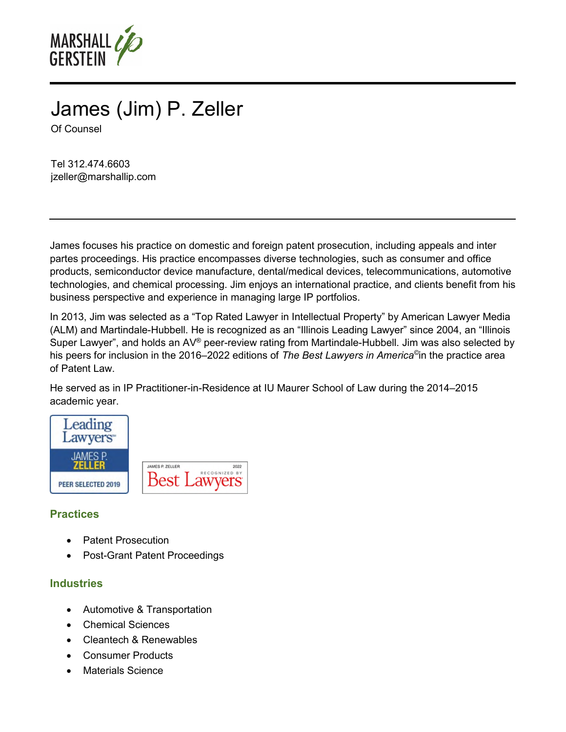

# James (Jim) P. Zeller Of Counsel

Tel 312.474.6603 jzeller@marshallip.com

James focuses his practice on domestic and foreign patent prosecution, including appeals and inter partes proceedings. His practice encompasses diverse technologies, such as consumer and office products, semiconductor device manufacture, dental/medical devices, telecommunications, automotive technologies, and chemical processing. Jim enjoys an international practice, and clients benefit from his business perspective and experience in managing large IP portfolios.

In 2013, Jim was selected as a "Top Rated Lawyer in Intellectual Property" by American Lawyer Media (ALM) and Martindale-Hubbell. He is recognized as an "Illinois Leading Lawyer" since 2004, an "Illinois Super Lawyer", and holds an AV® peer-review rating from Martindale-Hubbell. Jim was also selected by his peers for inclusion in the 2016–2022 editions of *The Best Lawyers in America©* in the practice area of Patent Law.

He served as in IP Practitioner-in-Residence at IU Maurer School of Law during the 2014–2015 academic year.



### **Practices**

- Patent Prosecution
- Post-Grant Patent Proceedings

#### **Industries**

- Automotive & Transportation
- Chemical Sciences
- Cleantech & Renewables
- Consumer Products
- Materials Science